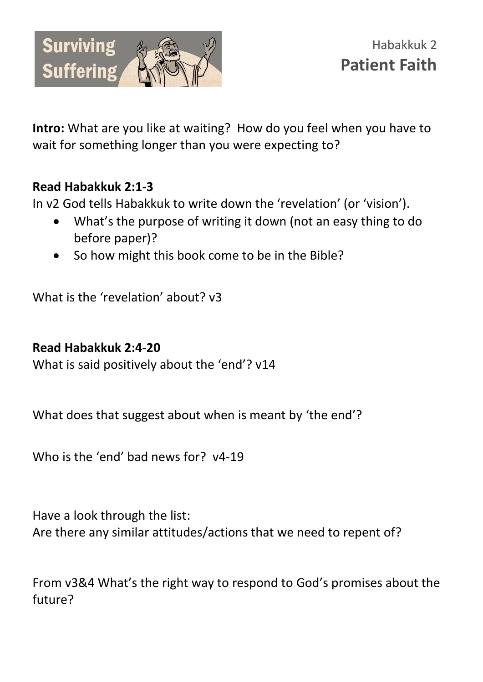

**Intro:** What are you like at waiting? How do you feel when you have to wait for something longer than you were expecting to?

## **Read Habakkuk 2:1-3**

In v2 God tells Habakkuk to write down the 'revelation' (or 'vision').

- What's the purpose of writing it down (not an easy thing to do before paper)?
- So how might this book come to be in the Bible?

What is the 'revelation' about? v3

## **Read Habakkuk 2:4-20**

What is said positively about the 'end'? v14

What does that suggest about when is meant by 'the end'?

Who is the 'end' had news for? y4-19

Have a look through the list: Are there any similar attitudes/actions that we need to repent of?

From v3&4 What's the right way to respond to God's promises about the future?